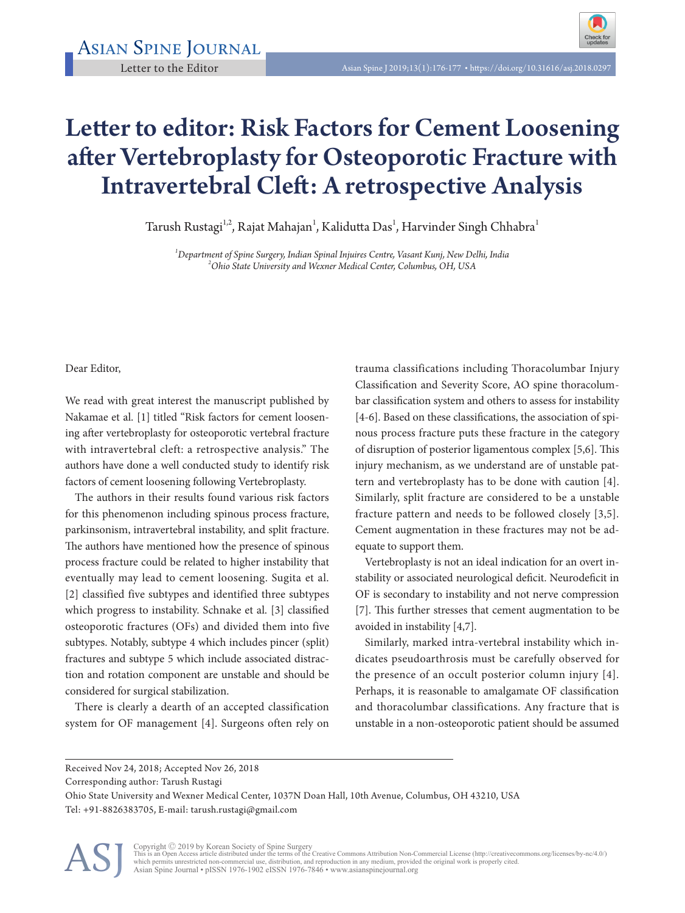## Letter to editor: Risk Factors for Cement Loosening after Vertebroplasty for Osteoporotic Fracture with Intravertebral Cleft: A retrospective Analysis

Tarush Rustagi $^{1,2}$ , Rajat Mahajan $^1$ , Kalidutta Das $^1$ , Harvinder Singh Chhabra $^1$ 

*1 Department of Spine Surgery, Indian Spinal Injuires Centre, Vasant Kunj, New Delhi, India <sup>2</sup> Ohio State University and Wexner Medical Center, Columbus, OH, USA* 

Dear Editor,

We read with great interest the manuscript published by Nakamae et al. [1] titled "Risk factors for cement loosening after vertebroplasty for osteoporotic vertebral fracture with intravertebral cleft: a retrospective analysis." The authors have done a well conducted study to identify risk factors of cement loosening following Vertebroplasty.

The authors in their results found various risk factors for this phenomenon including spinous process fracture, parkinsonism, intravertebral instability, and split fracture. The authors have mentioned how the presence of spinous process fracture could be related to higher instability that eventually may lead to cement loosening. Sugita et al. [2] classified five subtypes and identified three subtypes which progress to instability. Schnake et al. [3] classified osteoporotic fractures (OFs) and divided them into five subtypes. Notably, subtype 4 which includes pincer (split) fractures and subtype 5 which include associated distraction and rotation component are unstable and should be considered for surgical stabilization.

There is clearly a dearth of an accepted classification system for OF management [4]. Surgeons often rely on

trauma classifications including Thoracolumbar Injury Classification and Severity Score, AO spine thoracolumbar classification system and others to assess for instability [4-6]. Based on these classifications, the association of spinous process fracture puts these fracture in the category of disruption of posterior ligamentous complex [5,6]. This injury mechanism, as we understand are of unstable pattern and vertebroplasty has to be done with caution [4]. Similarly, split fracture are considered to be a unstable fracture pattern and needs to be followed closely [3,5]. Cement augmentation in these fractures may not be adequate to support them.

Vertebroplasty is not an ideal indication for an overt instability or associated neurological deficit. Neurodeficit in OF is secondary to instability and not nerve compression [7]. This further stresses that cement augmentation to be avoided in instability [4,7].

Similarly, marked intra-vertebral instability which indicates pseudoarthrosis must be carefully observed for the presence of an occult posterior column injury [4]. Perhaps, it is reasonable to amalgamate OF classification and thoracolumbar classifications. Any fracture that is unstable in a non-osteoporotic patient should be assumed

Corresponding author: Tarush Rustagi

Ohio State University and Wexner Medical Center, 1037N Doan Hall, 10th Avenue, Columbus, OH 43210, USA Tel: +91-8826383705, E-mail: tarush.rustagi@gmail.com



Copyright © 2019 by Korean Society of Spine Surgery<br>This is an Open Access article distributed under the terms of the Creative Commons Attribution Non-Commercial License (http://creativecommons.org/licenses/by-nc/4.0/)<br>whi Asian Spine Journal • pISSN 1976-1902 eISSN 1976-7846 • www.asianspinejournal.org

Received Nov 24, 2018; Accepted Nov 26, 2018